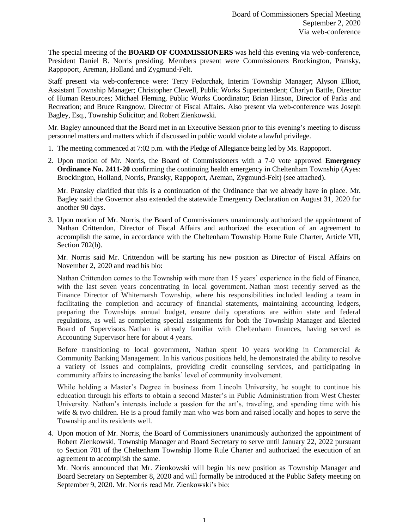The special meeting of the **BOARD OF COMMISSIONERS** was held this evening via web-conference, President Daniel B. Norris presiding. Members present were Commissioners Brockington, Pransky, Rappoport, Areman, Holland and Zygmund-Felt.

Staff present via web-conference were: Terry Fedorchak, Interim Township Manager; Alyson Elliott, Assistant Township Manager; Christopher Clewell, Public Works Superintendent; Charlyn Battle, Director of Human Resources; Michael Fleming, Public Works Coordinator; Brian Hinson, Director of Parks and Recreation; and Bruce Rangnow, Director of Fiscal Affairs. Also present via web-conference was Joseph Bagley, Esq., Township Solicitor; and Robert Zienkowski.

Mr. Bagley announced that the Board met in an Executive Session prior to this evening's meeting to discuss personnel matters and matters which if discussed in public would violate a lawful privilege.

- 1. The meeting commenced at 7:02 p.m. with the Pledge of Allegiance being led by Ms. Rappoport.
- 2. Upon motion of Mr. Norris, the Board of Commissioners with a 7-0 vote approved **Emergency Ordinance No. 2411-20** confirming the continuing health emergency in Cheltenham Township (Ayes: Brockington, Holland, Norris, Pransky, Rappoport, Areman, Zygmund-Felt) (see attached).

Mr. Pransky clarified that this is a continuation of the Ordinance that we already have in place. Mr. Bagley said the Governor also extended the statewide Emergency Declaration on August 31, 2020 for another 90 days.

3. Upon motion of Mr. Norris, the Board of Commissioners unanimously authorized the appointment of Nathan Crittendon, Director of Fiscal Affairs and authorized the execution of an agreement to accomplish the same, in accordance with the Cheltenham Township Home Rule Charter, Article VII, Section 702(b).

Mr. Norris said Mr. Crittendon will be starting his new position as Director of Fiscal Affairs on November 2, 2020 and read his bio:

Nathan Crittendon comes to the Township with more than 15 years' experience in the field of Finance, with the last seven years concentrating in local government. Nathan most recently served as the Finance Director of Whitemarsh Township, where his responsibilities included leading a team in facilitating the completion and accuracy of financial statements, maintaining accounting ledgers, preparing the Townships annual budget, ensure daily operations are within state and federal regulations, as well as completing special assignments for both the Township Manager and Elected Board of Supervisors. Nathan is already familiar with Cheltenham finances, having served as Accounting Supervisor here for about 4 years.

Before transitioning to local government, Nathan spent 10 years working in Commercial  $\&$ Community Banking Management. In his various positions held, he demonstrated the ability to resolve a variety of issues and complaints, providing credit counseling services, and participating in community affairs to increasing the banks' level of community involvement.

While holding a Master's Degree in business from Lincoln University, he sought to continue his education through his efforts to obtain a second Master's in Public Administration from West Chester University. Nathan's interests include a passion for the art's, traveling, and spending time with his wife & two children. He is a proud family man who was born and raised locally and hopes to serve the Township and its residents well.

4. Upon motion of Mr. Norris, the Board of Commissioners unanimously authorized the appointment of Robert Zienkowski, Township Manager and Board Secretary to serve until January 22, 2022 pursuant to Section 701 of the Cheltenham Township Home Rule Charter and authorized the execution of an agreement to accomplish the same.

Mr. Norris announced that Mr. Zienkowski will begin his new position as Township Manager and Board Secretary on September 8, 2020 and will formally be introduced at the Public Safety meeting on September 9, 2020. Mr. Norris read Mr. Zienkowski's bio: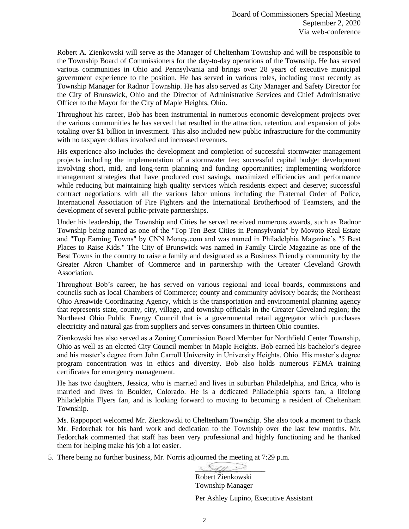Robert A. Zienkowski will serve as the Manager of Cheltenham Township and will be responsible to the Township Board of Commissioners for the day-to-day operations of the Township. He has served various communities in Ohio and Pennsylvania and brings over 28 years of executive municipal government experience to the position. He has served in various roles, including most recently as Township Manager for Radnor Township. He has also served as City Manager and Safety Director for the City of Brunswick, Ohio and the Director of Administrative Services and Chief Administrative Officer to the Mayor for the City of Maple Heights, Ohio.

Throughout his career, Bob has been instrumental in numerous economic development projects over the various communities he has served that resulted in the attraction, retention, and expansion of jobs totaling over \$1 billion in investment. This also included new public infrastructure for the community with no taxpayer dollars involved and increased revenues.

His experience also includes the development and completion of successful stormwater management projects including the implementation of a stormwater fee; successful capital budget development involving short, mid, and long-term planning and funding opportunities; implementing workforce management strategies that have produced cost savings, maximized efficiencies and performance while reducing but maintaining high quality services which residents expect and deserve; successful contract negotiations with all the various labor unions including the Fraternal Order of Police, International Association of Fire Fighters and the International Brotherhood of Teamsters, and the development of several public-private partnerships.

Under his leadership, the Township and Cities he served received numerous awards, such as Radnor Township being named as one of the "Top Ten Best Cities in Pennsylvania" by Movoto Real Estate and "Top Earning Towns" by CNN Money.com and was named in Philadelphia Magazine's "5 Best Places to Raise Kids." The City of Brunswick was named in Family Circle Magazine as one of the Best Towns in the country to raise a family and designated as a Business Friendly community by the Greater Akron Chamber of Commerce and in partnership with the Greater Cleveland Growth Association.

Throughout Bob's career, he has served on various regional and local boards, commissions and councils such as local Chambers of Commerce; county and community advisory boards; the Northeast Ohio Areawide Coordinating Agency, which is the transportation and environmental planning agency that represents state, county, city, village, and township officials in the Greater Cleveland region; the Northeast Ohio Public Energy Council that is a governmental retail aggregator which purchases electricity and natural gas from suppliers and serves consumers in thirteen Ohio counties.

Zienkowski has also served as a Zoning Commission Board Member for Northfield Center Township, Ohio as well as an elected City Council member in Maple Heights. Bob earned his bachelor's degree and his master's degree from John Carroll University in University Heights, Ohio. His master's degree program concentration was in ethics and diversity. Bob also holds numerous FEMA training certificates for emergency management.

He has two daughters, Jessica, who is married and lives in suburban Philadelphia, and Erica, who is married and lives in Boulder, Colorado. He is a dedicated Philadelphia sports fan, a lifelong Philadelphia Flyers fan, and is looking forward to moving to becoming a resident of Cheltenham Township.

Ms. Rappoport welcomed Mr. Zienkowski to Cheltenham Township. She also took a moment to thank Mr. Fedorchak for his hard work and dedication to the Township over the last few months. Mr. Fedorchak commented that staff has been very professional and highly functioning and he thanked them for helping make his job a lot easier.

5. There being no further business, Mr. Norris adjourned the meeting at 7:29 p.m.

 $\epsilon$ 

Robert Zienkowski Township Manager

Per Ashley Lupino, Executive Assistant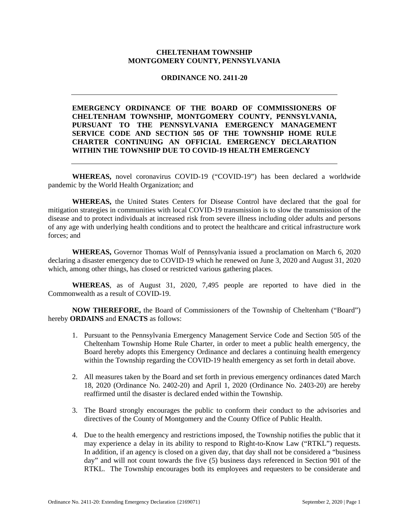## **CHELTENHAM TOWNSHIP MONTGOMERY COUNTY, PENNSYLVANIA**

## **ORDINANCE NO. 2411-20**

**EMERGENCY ORDINANCE OF THE BOARD OF COMMISSIONERS OF CHELTENHAM TOWNSHIP, MONTGOMERY COUNTY, PENNSYLVANIA, PURSUANT TO THE PENNSYLVANIA EMERGENCY MANAGEMENT SERVICE CODE AND SECTION 505 OF THE TOWNSHIP HOME RULE CHARTER CONTINUING AN OFFICIAL EMERGENCY DECLARATION WITHIN THE TOWNSHIP DUE TO COVID-19 HEALTH EMERGENCY** 

**WHEREAS,** novel coronavirus COVID-19 ("COVID-19") has been declared a worldwide pandemic by the World Health Organization; and

**WHEREAS,** the United States Centers for Disease Control have declared that the goal for mitigation strategies in communities with local COVID-19 transmission is to slow the transmission of the disease and to protect individuals at increased risk from severe illness including older adults and persons of any age with underlying health conditions and to protect the healthcare and critical infrastructure work forces; and

**WHEREAS,** Governor Thomas Wolf of Pennsylvania issued a proclamation on March 6, 2020 declaring a disaster emergency due to COVID-19 which he renewed on June 3, 2020 and August 31, 2020 which, among other things, has closed or restricted various gathering places.

**WHEREAS**, as of August 31, 2020, 7,495 people are reported to have died in the Commonwealth as a result of COVID-19.

**NOW THEREFORE,** the Board of Commissioners of the Township of Cheltenham ("Board") hereby **ORDAINS** and **ENACTS** as follows:

- 1. Pursuant to the Pennsylvania Emergency Management Service Code and Section 505 of the Cheltenham Township Home Rule Charter, in order to meet a public health emergency, the Board hereby adopts this Emergency Ordinance and declares a continuing health emergency within the Township regarding the COVID-19 health emergency as set forth in detail above.
- 2. All measures taken by the Board and set forth in previous emergency ordinances dated March 18, 2020 (Ordinance No. 2402-20) and April 1, 2020 (Ordinance No. 2403-20) are hereby reaffirmed until the disaster is declared ended within the Township.
- 3. The Board strongly encourages the public to conform their conduct to the advisories and directives of the County of Montgomery and the County Office of Public Health.
- 4. Due to the health emergency and restrictions imposed, the Township notifies the public that it may experience a delay in its ability to respond to Right-to-Know Law ("RTKL") requests. In addition, if an agency is closed on a given day, that day shall not be considered a "business day" and will not count towards the five (5) business days referenced in Section 901 of the RTKL. The Township encourages both its employees and requesters to be considerate and